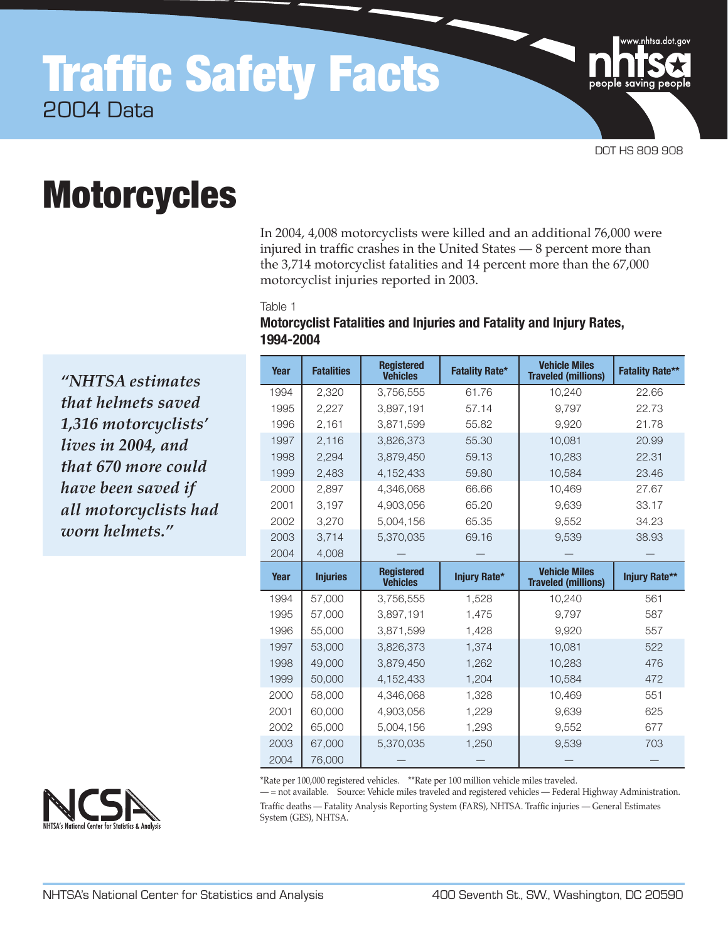# Traffic Safety Facts 2004 Data



w<u>.n</u>htsa.dot.gov

# **Motorcycles**

In 2004, 4,008 motorcyclists were killed and an additional 76,000 were injured in traffic crashes in the United States — 8 percent more than the 3,714 motorcyclist fatalities and 14 percent more than the 67,000 motorcyclist injuries reported in 2003.

Table 1

| Motorcyclist Fatalities and Injuries and Fatality and Injury Rates, |  |  |
|---------------------------------------------------------------------|--|--|
| 1994-2004                                                           |  |  |

**Year Fatalities Registered Vehicles Fatality Rate\* Vehicle Miles Traveled (millions) Fatality Rate\*\*** 1994 2,320 3,756,555 61.76 10,240 22.66 2,227 3,897,191 57.14 9,797 22.73 1996 2,161 3,871,599 55.82 9,920 21.78 2,116 3,826,373 55.30 10,081 20.99 2,294 3,879,450 59.13 10,283 22.31 2,483 4,152,433 59.80 10,584 23.46 2,897 4,346,068 66.66 10,469 27.67 3,197 4,903,056 65.20 9,639 33.17 3,270 5,004,156 65.35 9,552 34.23 3,714 5,370,035 69.16 9,539 38.93 4,008 – – – – – – – **Year Injuries Registered**<br>**PEREFECTE: Vehicles Injury Rate\* Vehicle Miles Traveled (millions) Injury Rate\*\*** 1994 57,000 3,756,555 1,528 10,240 561 57,000 3,897,191 1,475 9,797 587 55,000 3,871,599 1,428 9,920 557 53,000 3,826,373 1,374 10,081 522 49,000 3,879,450 1,262 10,283 476 1999 50,000 4,152,433 1,204 10,584 472 2000 | 58,000 | 4,346,068 1,328 | 10,469 551 60,000 4,903,056 1,229 9,639 625 2002 65,000 5,004,156 1,293 1 9,552 677 67,000 5,370,035 1,250 9,539 703 76,000 — — — —

\*Rate per 100,000 registered vehicles. \*\*Rate per 100 million vehicle miles traveled.

— = not available. Source: Vehicle miles traveled and registered vehicles — Federal Highway Administration. Traffic deaths — Fatality Analysis Reporting System (FARS), NHTSA. Traffic injuries — General Estimates System (GES), NHTSA.

*"NHTSA estimates that helmets saved 1,316 motorcyclists' lives in 2004, and that 670 more could have been saved if all motorcyclists had worn helmets."* 

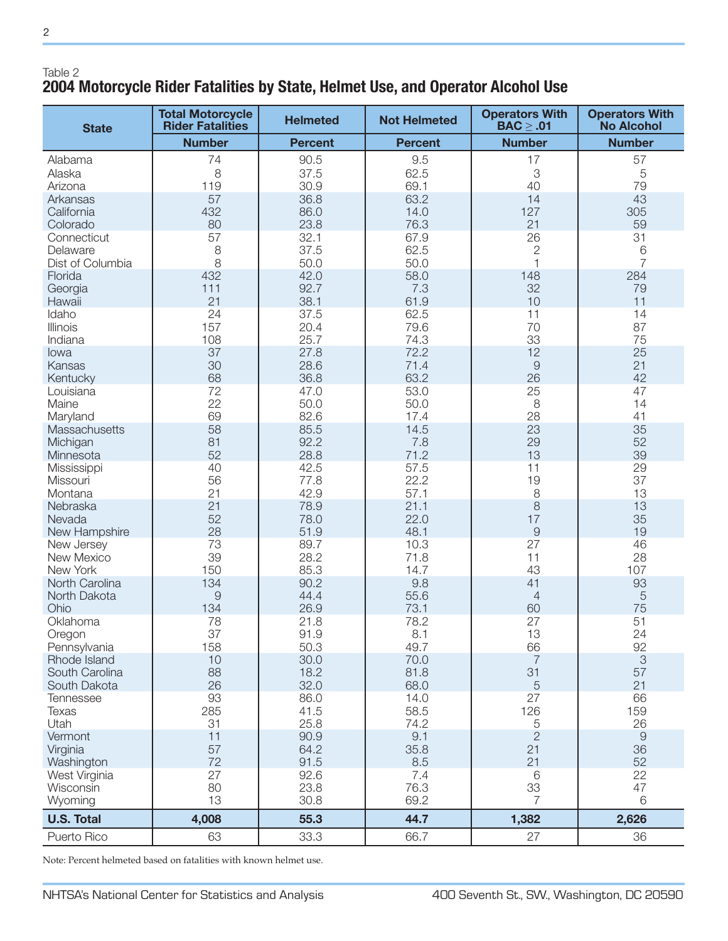# Table 2 **2004 Motorcycle Rider Fatalities by State, Helmet Use, and Operator Alcohol Use**

| <b>State</b>           | <b>Total Motorcycle</b><br><b>Rider Fatalities</b> | <b>Helmeted</b> | <b>Not Helmeted</b> | <b>Operators With</b><br>$\text{BAC} \geq .01$ | <b>Operators With</b><br><b>No Alcohol</b> |
|------------------------|----------------------------------------------------|-----------------|---------------------|------------------------------------------------|--------------------------------------------|
|                        | <b>Number</b>                                      | <b>Percent</b>  | <b>Percent</b>      | <b>Number</b>                                  | <b>Number</b>                              |
| Alabama                | 74                                                 | 90.5            | 9.5                 | 17                                             | 57                                         |
| Alaska                 | 8                                                  | 37.5            | 62.5                | $\ensuremath{\mathsf{3}}$                      | 5                                          |
| Arizona                | 119                                                | 30.9            | 69.1                | 40                                             | 79                                         |
| Arkansas               | 57                                                 | 36.8            | 63.2                | 14                                             | 43                                         |
| California             | 432                                                | 86.0            | 14.0                | 127                                            | 305                                        |
| Colorado               | 80                                                 | 23.8            | 76.3                | 21                                             | 59                                         |
| Connecticut            | 57                                                 | 32.1            | 67.9                | 26                                             | 31                                         |
| Delaware               | 8                                                  | 37.5            | 62.5                | $\overline{c}$                                 | 6                                          |
| Dist of Columbia       | 8                                                  | 50.0            | 50.0                | $\mathbf{1}$                                   | $\overline{7}$                             |
| Florida                | 432                                                | 42.0            | 58.0                | 148                                            | 284                                        |
| Georgia                | 111                                                | 92.7            | 7.3                 | 32                                             | 79                                         |
| Hawaii                 | 21                                                 | 38.1            | 61.9                | 10                                             | 11                                         |
| Idaho                  | 24                                                 | 37.5            | 62.5                | 11                                             | 14                                         |
| Illinois               | 157                                                | 20.4            | 79.6                | 70                                             | 87                                         |
| Indiana                | 108                                                | 25.7            | 74.3                | 33                                             | 75                                         |
| lowa                   | 37                                                 | 27.8            | 72.2                | 12                                             | 25<br>21                                   |
| Kansas<br>Kentucky     | 30<br>68                                           | 28.6<br>36.8    | 71.4<br>63.2        | $\Theta$<br>26                                 | 42                                         |
| Louisiana              | 72                                                 | 47.0            | 53.0                | 25                                             | 47                                         |
| Maine                  | 22                                                 | 50.0            | 50.0                | 8                                              | 14                                         |
| Maryland               | 69                                                 | 82.6            | 17.4                | 28                                             | 41                                         |
| Massachusetts          | 58                                                 | 85.5            | 14.5                | 23                                             | 35                                         |
| Michigan               | 81                                                 | 92.2            | 7.8                 | 29                                             | 52                                         |
| Minnesota              | 52                                                 | 28.8            | 71.2                | 13                                             | 39                                         |
| Mississippi            | 40                                                 | 42.5            | 57.5                | 11                                             | 29                                         |
| Missouri               | 56                                                 | 77.8            | 22.2                | 19                                             | 37                                         |
| Montana                | 21                                                 | 42.9            | 57.1                | $\,8\,$                                        | 13                                         |
| Nebraska               | 21                                                 | 78.9            | 21.1                | 8                                              | 13                                         |
| Nevada                 | 52                                                 | 78.0            | 22.0                | 17                                             | 35                                         |
| New Hampshire          | 28                                                 | 51.9            | 48.1                | $\hbox{9}$                                     | 19                                         |
| New Jersey             | 73                                                 | 89.7            | 10.3                | 27                                             | 46                                         |
| New Mexico             | 39                                                 | 28.2            | 71.8                | 11                                             | 28                                         |
| New York               | 150                                                | 85.3            | 14.7                | 43                                             | 107                                        |
| North Carolina         | 134                                                | 90.2            | 9.8                 | 41                                             | 93                                         |
| North Dakota           | $\Theta$                                           | 44.4            | 55.6                | $\overline{4}$                                 | 5                                          |
| Ohio<br>Oklahoma       | 134<br>78                                          | 26.9<br>21.8    | 73.1<br>78.2        | 60<br>27                                       | 75<br>51                                   |
|                        | 37                                                 | 91.9            | 8.1                 | 13                                             | 24                                         |
| Oregon<br>Pennsylvania | 158                                                | 50.3            | 49.7                | 66                                             | 92                                         |
| Rhode Island           | 10                                                 | 30.0            | 70.0                | $\overline{7}$                                 | 3                                          |
| South Carolina         | 88                                                 | 18.2            | 81.8                | 31                                             | 57                                         |
| South Dakota           | 26                                                 | 32.0            | 68.0                | $\sqrt{5}$                                     | 21                                         |
| <b>Tennessee</b>       | 93                                                 | 86.0            | 14.0                | 27                                             | 66                                         |
| Texas                  | 285                                                | 41.5            | 58.5                | 126                                            | 159                                        |
| Utah                   | 31                                                 | 25.8            | 74.2                | $\mathbf 5$                                    | 26                                         |
| Vermont                | 11                                                 | 90.9            | 9.1                 | $\mathbf{2}$                                   | $\overline{9}$                             |
| Virginia               | 57                                                 | 64.2            | 35.8                | 21                                             | 36                                         |
| Washington             | 72                                                 | 91.5            | 8.5                 | 21                                             | 52                                         |
| West Virginia          | 27                                                 | 92.6            | 7.4                 | $\,6$                                          | 22                                         |
| Wisconsin              | 80                                                 | 23.8            | 76.3                | 33                                             | 47                                         |
| Wyoming                | 13                                                 | 30.8            | 69.2                | $\overline{7}$                                 | 6                                          |
| <b>U.S. Total</b>      | 4,008                                              | 55.3            | 44.7                | 1,382                                          | 2,626                                      |
| Puerto Rico            | 63                                                 | 33.3            | 66.7                | 27                                             | 36                                         |

Note: Percent helmeted based on fatalities with known helmet use.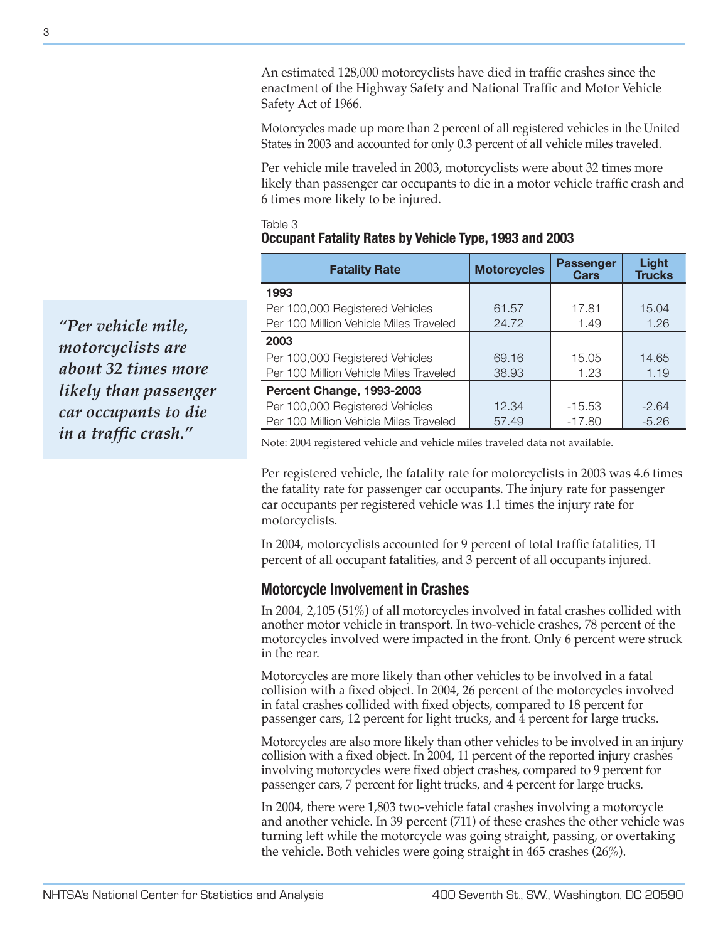An estimated 128,000 motorcyclists have died in traffic crashes since the enactment of the Highway Safety and National Traffic and Motor Vehicle Safety Act of 1966.

Motorcycles made up more than 2 percent of all registered vehicles in the United States in 2003 and accounted for only 0.3 percent of all vehicle miles traveled.

Per vehicle mile traveled in 2003, motorcyclists were about 32 times more likely than passenger car occupants to die in a motor vehicle traffic crash and 6 times more likely to be injured.

#### Table 3 **Occupant Fatality Rates by Vehicle Type, 1993 and 2003**

| <b>Fatality Rate</b>                   | <b>Motorcycles</b> | <b>Passenger</b><br><b>Cars</b> | Light<br><b>Trucks</b> |
|----------------------------------------|--------------------|---------------------------------|------------------------|
| 1993                                   |                    |                                 |                        |
| Per 100,000 Registered Vehicles        | 61.57              | 17.81                           | 15.04                  |
| Per 100 Million Vehicle Miles Traveled | 24.72              | 1.49                            | 1.26                   |
| 2003                                   |                    |                                 |                        |
| Per 100,000 Registered Vehicles        | 69.16              | 15.05                           | 14.65                  |
| Per 100 Million Vehicle Miles Traveled | 38.93              | 1.23                            | 1.19                   |
| Percent Change, 1993-2003              |                    |                                 |                        |
| Per 100,000 Registered Vehicles        | 12.34              | $-15.53$                        | $-2.64$                |
| Per 100 Million Vehicle Miles Traveled | 57.49              | $-17.80$                        | $-5.26$                |

Note: 2004 registered vehicle and vehicle miles traveled data not available.

Per registered vehicle, the fatality rate for motorcyclists in 2003 was 4.6 times the fatality rate for passenger car occupants. The injury rate for passenger car occupants per registered vehicle was 1.1 times the injury rate for motorcyclists.

In 2004, motorcyclists accounted for 9 percent of total traffic fatalities, 11 percent of all occupant fatalities, and 3 percent of all occupants injured.

# **Motorcycle Involvement in Crashes**

In 2004, 2,105 (51%) of all motorcycles involved in fatal crashes collided with another motor vehicle in transport. In two-vehicle crashes, 78 percent of the motorcycles involved were impacted in the front. Only 6 percent were struck in the rear.

Motorcycles are more likely than other vehicles to be involved in a fatal collision with a fixed object. In 2004, 26 percent of the motorcycles involved in fatal crashes collided with fixed objects, compared to 18 percent for passenger cars, 12 percent for light trucks, and 4 percent for large trucks.

Motorcycles are also more likely than other vehicles to be involved in an injury collision with a fixed object. In 2004, 11 percent of the reported injury crashes involving motorcycles were fixed object crashes, compared to 9 percent for passenger cars, 7 percent for light trucks, and 4 percent for large trucks.

In 2004, there were 1,803 two-vehicle fatal crashes involving a motorcycle and another vehicle. In 39 percent (711) of these crashes the other vehicle was turning left while the motorcycle was going straight, passing, or overtaking the vehicle. Both vehicles were going straight in 465 crashes (26%).

*"Per vehicle mile, motorcyclists are about 32 times more likely than passenger car occupants to die in a traffic crash."*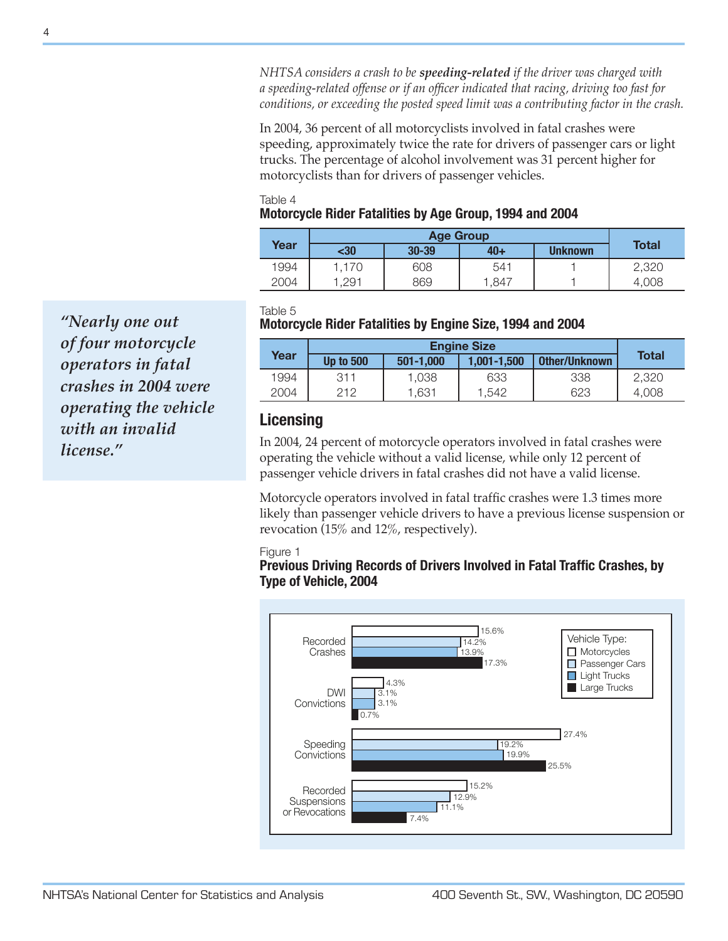*NHTSA considers a crash to be speeding-related if the driver was charged with a speeding-related offense or if an officer indicated that racing, driving too fast for conditions, or exceeding the posted speed limit was a contributing factor in the crash.*

In 2004, 36 percent of all motorcyclists involved in fatal crashes were speeding, approximately twice the rate for drivers of passenger cars or light trucks. The percentage of alcohol involvement was 31 percent higher for motorcyclists than for drivers of passenger vehicles.

#### Table 4 **Motorcycle Rider Fatalities by Age Group, 1994 and 2004**

|      |       | <b>Age Group</b> |       |                |              |
|------|-------|------------------|-------|----------------|--------------|
| Year | <30   | $30 - 39$        | $40+$ | <b>Unknown</b> | <b>Total</b> |
| 1994 | 1.170 | 608              | 541   |                | 2,320        |
| 2004 | .291  | 869              | i,847 |                | 4.008        |

Table 5

## **Motorcycle Rider Fatalities by Engine Size, 1994 and 2004**

|      | <b>Engine Size</b> |           |             |               |              |
|------|--------------------|-----------|-------------|---------------|--------------|
| Year | <b>Up to 500</b>   | 501-1.000 | 1.001-1.500 | Other/Unknown | <b>Total</b> |
| 1994 | 311                | 1,038     | 633         | 338           | 2.320        |
| 2004 | クイク                | 1,631     | 1.542       | 623           | 4.008        |

# **Licensing**

In 2004, 24 percent of motorcycle operators involved in fatal crashes were operating the vehicle without a valid license, while only 12 percent of passenger vehicle drivers in fatal crashes did not have a valid license.

Motorcycle operators involved in fatal traffic crashes were 1.3 times more likely than passenger vehicle drivers to have a previous license suspension or revocation (15% and 12%, respectively).

#### Figure 1

## **Previous Driving Records of Drivers Involved in Fatal Traffic Crashes, by Type of Vehicle, 2004**



*"Nearly one out of four motorcycle operators in fatal crashes in 2004 were operating the vehicle with an invalid license."*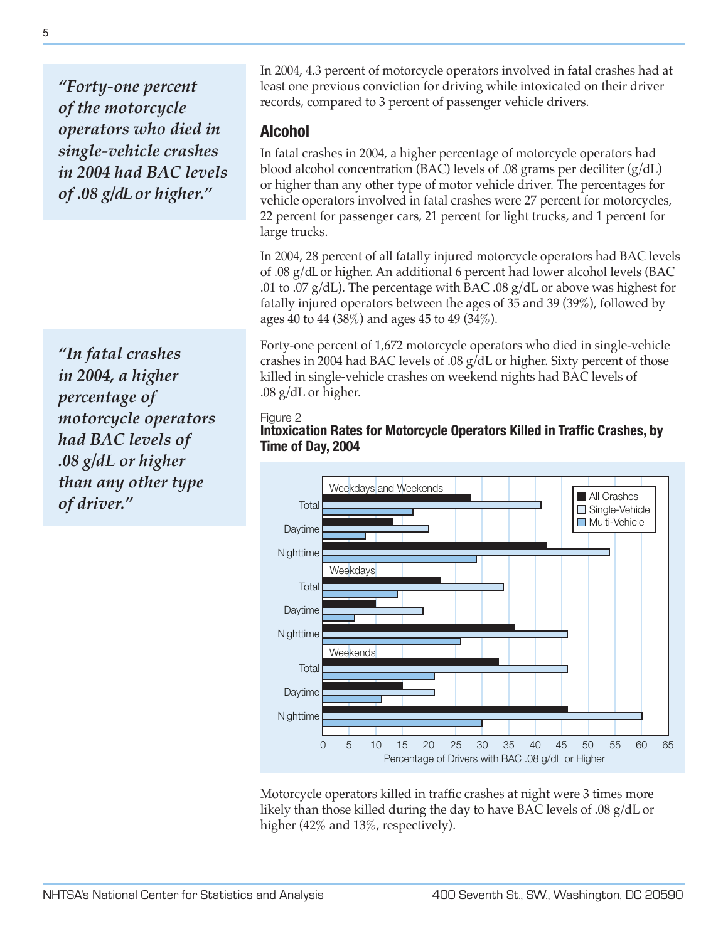*"Forty-one percent of the motorcycle operators who died in single-vehicle crashes in 2004 had BAC levels of .08 g/dL or higher."*

*"In fatal crashes in 2004, a higher percentage of motorcycle operators had BAC levels of .08 g/dL or higher than any other type of driver."*

In 2004, 4.3 percent of motorcycle operators involved in fatal crashes had at least one previous conviction for driving while intoxicated on their driver records, compared to 3 percent of passenger vehicle drivers.

# **Alcohol**

In fatal crashes in 2004, a higher percentage of motorcycle operators had blood alcohol concentration (BAC) levels of .08 grams per deciliter (g/dL) or higher than any other type of motor vehicle driver. The percentages for vehicle operators involved in fatal crashes were 27 percent for motorcycles, 22 percent for passenger cars, 21 percent for light trucks, and 1 percent for large trucks.

In 2004, 28 percent of all fatally injured motorcycle operators had BAC levels of .08 g/dL or higher. An additional 6 percent had lower alcohol levels (BAC .01 to .07  $g/dL$ ). The percentage with BAC .08  $g/dL$  or above was highest for fatally injured operators between the ages of 35 and 39 (39%), followed by ages 40 to 44 (38%) and ages 45 to 49 (34%).

Forty-one percent of 1,672 motorcycle operators who died in single-vehicle crashes in 2004 had BAC levels of .08 g/dL or higher. Sixty percent of those killed in single-vehicle crashes on weekend nights had BAC levels of .08 g/dL or higher.

## Figure 2





Motorcycle operators killed in traffic crashes at night were 3 times more likely than those killed during the day to have BAC levels of .08 g/dL or higher (42% and 13%, respectively).